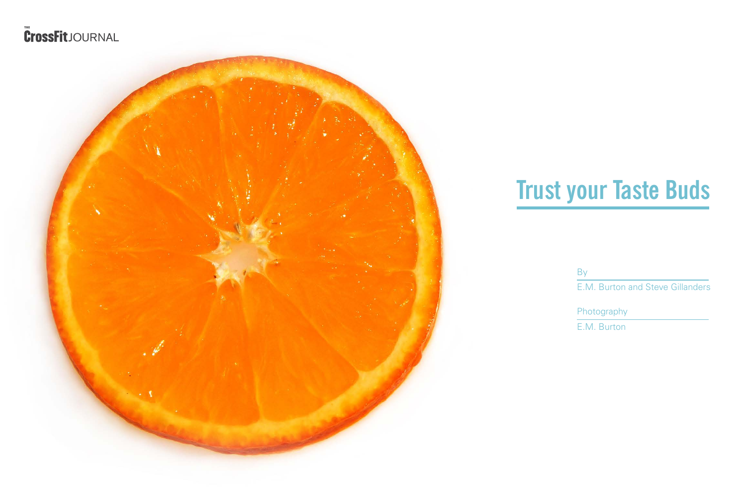## **Trust your Taste Buds**

E.M. Burton and Steve Gillanders

E.M. Burton

By

Photography

## **THE** JOURNAL

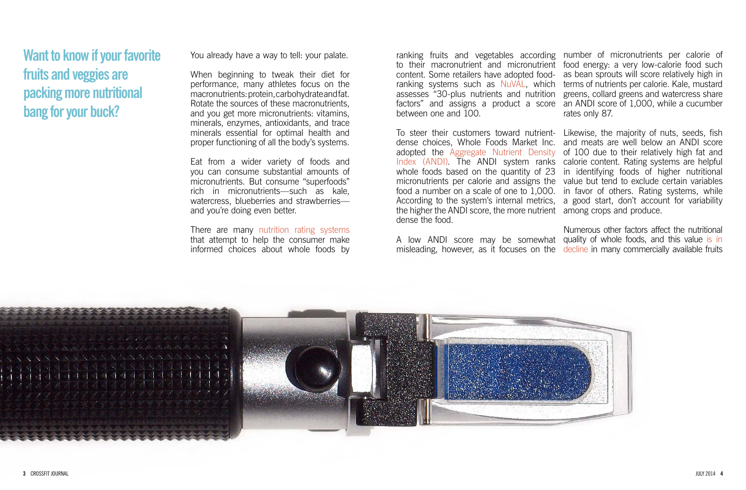You already have a way to tell: your palate.

When beginning to tweak their diet for performance, many athletes focus on the macronutrients: protein, carbohydrate and fat. Rotate the sources of these macronutrients, and you get more micronutrients: vitamins, minerals, enzymes, antioxidants, and trace minerals essential for optimal health and proper functioning of all the body's systems.

Eat from a wider variety of foods and you can consume substantial amounts of micronutrients. But consume "superfoods" rich in micronutrients—such as kale, watercress, blueberries and strawberries and you're doing even better.

There are many [nutrition rating systems](http://ajcn.nutrition.org/content/82/4/721.long#aff-1) that attempt to help the consumer make informed choices about whole foods by

To steer their customers toward nutrient- Likewise, the majority of nuts, seeds, fish dense choices, Whole Foods Market Inc. and meats are well below an ANDI score adopted the [Aggregate Nutrient Density](http://www.drfuhrman.com/library/andi-food-scores.aspx) [Index \(ANDI\).](http://www.drfuhrman.com/library/andi-food-scores.aspx) The ANDI system ranks calorie content. Rating systems are helpful whole foods based on the quantity of 23 micronutrients per calorie and assigns the value but tend to exclude certain variables food a number on a scale of one to 1,000. According to the system's internal metrics, a good start, don't account for variability the higher the ANDI score, the more nutrient among crops and produce. dense the food.

A low ANDI score may be somewhat quality of whole foods, and this value is in misleading, however, as it focuses on the [decline](http://www.nbcnews.com/id/37396355/ns/health-diet_and_nutrition/t/nutritional-value-fruits-veggies-dwindling) in many commercially available fruits

ranking fruits and vegetables according number of micronutrients per calorie of to their macronutrient and micronutrient food energy: a very low-calorie food such content. Some retailers have adopted food-ranking systems such as [NuVAL](http://www.nuval.com/), which terms of nutrients per calorie. Kale, mustard assesses "30-plus nutrients and nutrition factors" and assigns a product a score an ANDI score of 1,000, while a cucumber between one and 100.

as bean sprouts will score relatively high in greens, collard greens and watercress share rates only 87.

of 100 due to their relatively high fat and in identifying foods of higher nutritional in favor of others. Rating systems, while

Numerous other factors affect the nutritional



**Want to know if your favorite fruits and veggies are packing more nutritional bang for your buck?**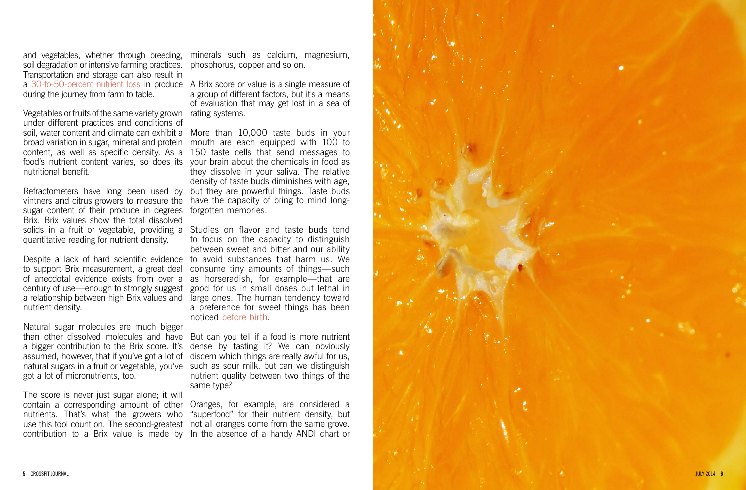and vegetables, whether through breeding, soil degradation or intensive farming practices. Transportation and storage can also result in during the journey from farm to table.

Vegetables or fruits of the same variety grown rating systems. under different practices and conditions of soil, water content and climate can exhibit a More than 10,000 taste buds in your broad variation in sugar, mineral and protein mouth are each equipped with 100 to content, as well as specific density. As a food's nutrient content varies, so does its nutritional benefit.

Refractometers have long been used by vintners and citrus growers to measure the sugar content of their produce in degrees Brix. Brix values show the total dissolved quantitative reading for nutrient density.

a [30-to-50-percent nutrient loss](http://www.co.fresno.ca.us/uploadedFiles/Departments/Behavioral_Health/MHSA/Health%20Benefits%20of%20Urban%20Agriculture%20(1-8).pdf) in produce A Brix score or value is a single measure of a group of different factors, but it's a means of evaluation that may get lost in a sea of

to support Brix measurement, a great deal of anecdotal evidence exists from over a century of use—enough to strongly suggest a relationship between high Brix values and nutrient density.

Natural sugar molecules are much bigger a bigger contribution to the Brix score. It's assumed, however, that if you've got a lot of got a lot of micronutrients, too.

minerals such as calcium, magnesium, phosphorus, copper and so on.

solids in a fruit or vegetable, providing a Studies on flavor and taste buds tend Despite a lack of hard scientific evidence to avoid substances that harm us. We to focus on the capacity to distinguish between sweet and bitter and our ability consume tiny amounts of things—such as horseradish, for example—that are good for us in small doses but lethal in large ones. The human tendency toward a preference for sweet things has been noticed [before birth.](http://www.todaysdietitian.com/newarchives/092208p54.shtml)

than other dissolved molecules and have But can you tell if a food is more nutrient natural sugars in a fruit or vegetable, you've such as sour milk, but can we distinguish dense by tasting it? We can obviously discern which things are really awful for us, nutrient quality between two things of the same type?

150 taste cells that send messages to your brain about the chemicals in food as they dissolve in your saliva. The relative density of taste buds diminishes with age, but they are powerful things. Taste buds have the capacity of bring to mind longforgotten memories.

The score is never just sugar alone; it will contain a corresponding amount of other nutrients. That's what the growers who use this tool count on. The second-greatest not all oranges come from the same grove. contribution to a Brix value is made by In the absence of a handy ANDI chart or

Oranges, for example, are considered a "superfood" for their nutrient density, but